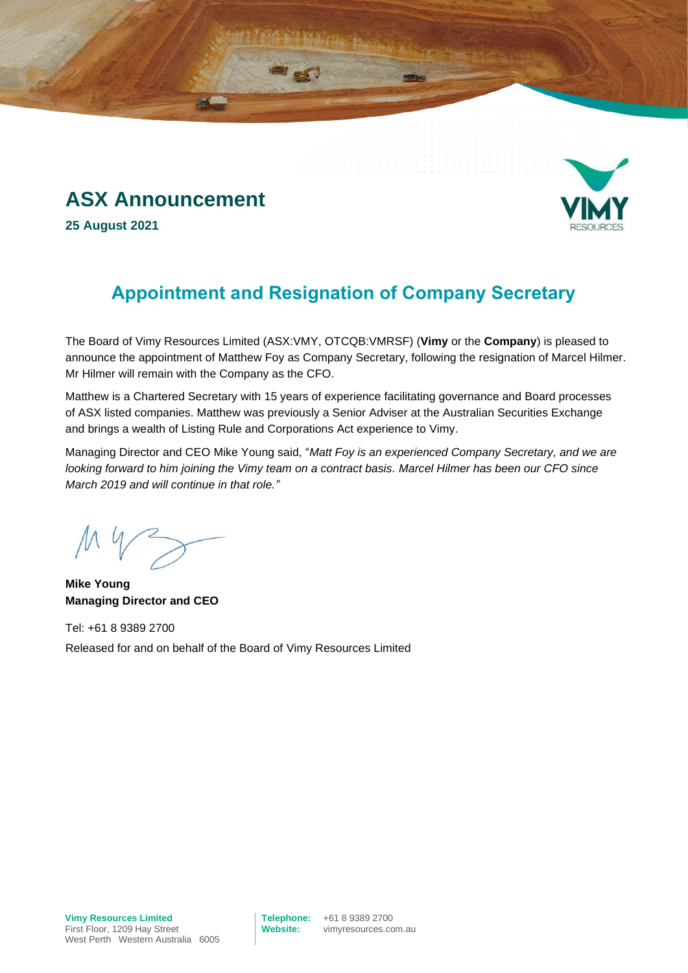# **ASX Announcement**

**25 August 2021**



The Board of Vimy Resources Limited (ASX:VMY, OTCQB:VMRSF) (**Vimy** or the **Company**) is pleased to announce the appointment of Matthew Foy as Company Secretary, following the resignation of Marcel Hilmer. Mr Hilmer will remain with the Company as the CFO.

Matthew is a Chartered Secretary with 15 years of experience facilitating governance and Board processes of ASX listed companies. Matthew was previously a Senior Adviser at the Australian Securities Exchange and brings a wealth of Listing Rule and Corporations Act experience to Vimy.

Managing Director and CEO Mike Young said, "*Matt Foy is an experienced Company Secretary, and we are looking forward to him joining the Vimy team on a contract basis. Marcel Hilmer has been our CFO since March 2019 and will continue in that role."* 

**Mike Young Managing Director and CEO**

Tel: +61 8 9389 2700 Released for and on behalf of the Board of Vimy Resources Limited